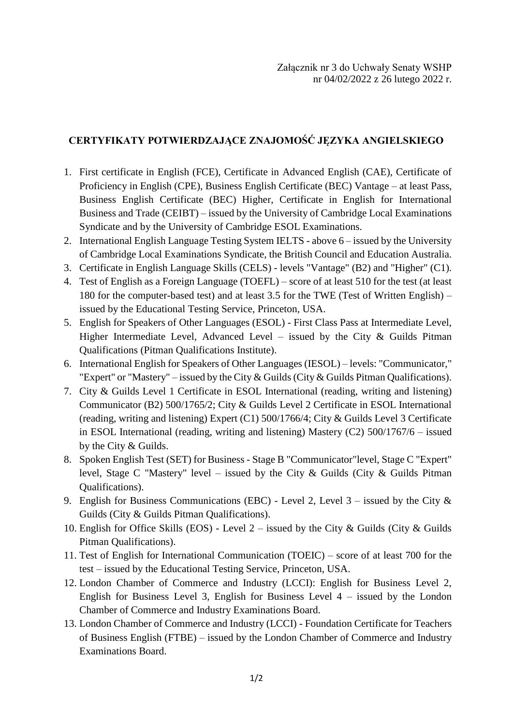## **CERTYFIKATY POTWIERDZAJĄCE ZNAJOMOŚĆ JĘZYKA ANGIELSKIEGO**

- 1. First certificate in English (FCE), Certificate in Advanced English (CAE), Certificate of Proficiency in English (CPE), Business English Certificate (BEC) Vantage – at least Pass, Business English Certificate (BEC) Higher, Certificate in English for International Business and Trade (CEIBT) – issued by the University of Cambridge Local Examinations Syndicate and by the University of Cambridge ESOL Examinations.
- 2. International English Language Testing System IELTS above 6 issued by the University of Cambridge Local Examinations Syndicate, the British Council and Education Australia.
- 3. Certificate in English Language Skills (CELS) levels "Vantage" (B2) and "Higher" (C1).
- 4. Test of English as a Foreign Language (TOEFL) score of at least 510 for the test (at least 180 for the computer-based test) and at least 3.5 for the TWE (Test of Written English) – issued by the Educational Testing Service, Princeton, USA.
- 5. English for Speakers of Other Languages (ESOL) First Class Pass at Intermediate Level, Higher Intermediate Level, Advanced Level – issued by the City  $\&$  Guilds Pitman Qualifications (Pitman Qualifications Institute).
- 6. International English for Speakers of Other Languages (IESOL) levels: "Communicator," "Expert" or "Mastery" – issued by the City & Guilds (City & Guilds Pitman Qualifications).
- 7. City & Guilds Level 1 Certificate in ESOL International (reading, writing and listening) Communicator (B2) 500/1765/2; City & Guilds Level 2 Certificate in ESOL International (reading, writing and listening) Expert (C1) 500/1766/4; City & Guilds Level 3 Certificate in ESOL International (reading, writing and listening) Mastery (C2) 500/1767/6 – issued by the City & Guilds.
- 8. Spoken English Test (SET) for Business Stage B "Communicator"level, Stage C "Expert" level, Stage C "Mastery" level – issued by the City & Guilds (City & Guilds Pitman) Qualifications).
- 9. English for Business Communications (EBC) Level 2, Level 3 issued by the City  $\&$ Guilds (City & Guilds Pitman Qualifications).
- 10. English for Office Skills (EOS) Level 2 issued by the City & Guilds (City & Guilds Pitman Qualifications).
- 11. Test of English for International Communication (TOEIC) score of at least 700 for the test – issued by the Educational Testing Service, Princeton, USA.
- 12. London Chamber of Commerce and Industry (LCCI): English for Business Level 2, English for Business Level 3, English for Business Level 4 – issued by the London Chamber of Commerce and Industry Examinations Board.
- 13. London Chamber of Commerce and Industry (LCCI) Foundation Certificate for Teachers of Business English (FTBE) – issued by the London Chamber of Commerce and Industry Examinations Board.